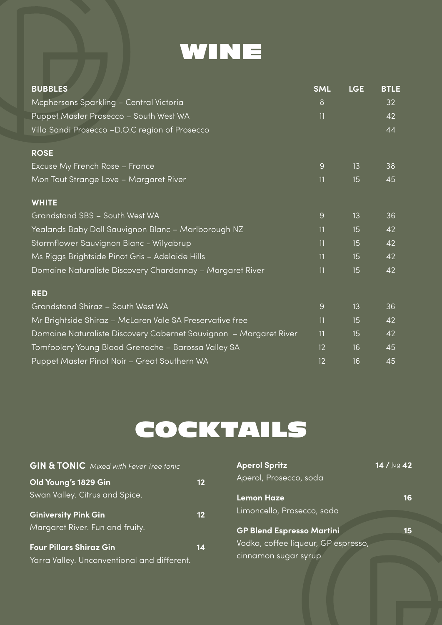

| <b>BUBBLES</b>                                                    | <b>SML</b> | <b>LGE</b> | <b>BTLE</b> |
|-------------------------------------------------------------------|------------|------------|-------------|
| Mcphersons Sparkling - Central Victoria                           | 8          |            | 32          |
| Puppet Master Prosecco - South West WA                            | 11         |            | 42          |
| Villa Sandi Prosecco - D.O.C region of Prosecco                   |            |            | 44          |
| <b>ROSE</b>                                                       |            |            |             |
| Excuse My French Rose - France                                    | 9          | 13         | 38          |
| Mon Tout Strange Love - Margaret River                            | 11         | 15         | 45          |
| <b>WHITE</b>                                                      |            |            |             |
| Grandstand SBS - South West WA                                    | 9          | 13         | 36          |
| Yealands Baby Doll Sauvignon Blanc - Marlborough NZ               | 11         | 15         | 42          |
| Stormflower Sauvignon Blanc - Wilyabrup                           | 11         | 15         | 42          |
| Ms Riggs Brightside Pinot Gris - Adelaide Hills                   | 11         | 15         | 42          |
| Domaine Naturaliste Discovery Chardonnay - Margaret River         | 11         | 15         | 42          |
| <b>RED</b>                                                        |            |            |             |
| Grandstand Shiraz - South West WA                                 | 9          | 13         | 36          |
| Mr Brightside Shiraz - McLaren Vale SA Preservative free          | 11         | 15         | 42          |
| Domaine Naturaliste Discovery Cabernet Sauvignon - Margaret River | 11         | 15         | 42          |
| Tomfoolery Young Blood Grenache - Barossa Valley SA               | 12         | 16         | 45          |
| Puppet Master Pinot Noir - Great Southern WA                      | 12         | 16         | 45          |

# COCKTAILS

| <b>GIN &amp; TONIC</b> Mixed with Fever Tree tonic |                   | <b>Aperol Spritz</b>                | 14 / Jug 42 |
|----------------------------------------------------|-------------------|-------------------------------------|-------------|
| Old Young's 1829 Gin                               | $12 \overline{ }$ | Aperol, Prosecco, soda              |             |
| Swan Valley. Citrus and Spice.                     |                   | <b>Lemon Haze</b>                   | 16          |
| <b>Giniversity Pink Gin</b>                        | $12 \overline{ }$ | Limoncello, Prosecco, soda          |             |
| Margaret River. Fun and fruity.                    |                   | <b>GP Blend Espresso Martini</b>    | 15          |
| <b>Four Pillars Shiraz Gin</b>                     | 14                | Vodka, coffee liqueur, GP espresso, |             |
| Yarra Valley. Unconventional and different.        |                   | cinnamon sugar syrup                |             |